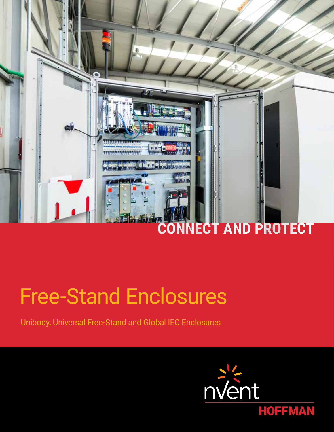

# Free-Stand Enclosures

Unibody, Universal Free-Stand and Global IEC Enclosures

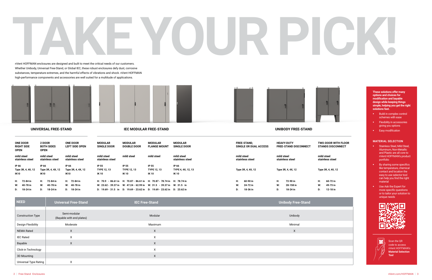



#### **UNIVERSAL FREE-STAND IEC MODULAR FREE-STAND UNIBODY FREE-STAND**

#### **TWO-DOOR WITH FLOOR STANDS DISCONNECT**

| Н: | 60-72 in |
|----|----------|
| w: | 49-73 in |
| D: | 12-18 in |



| <b>ONE DOOR</b><br><b>RIGHT SIDE</b><br><b>OPEN</b> | <b>2 DOOR</b><br><b>BOTH SIDES</b><br><b>OPEN</b> | <b>ONE DOOR</b><br><b>LEFT SIDE OPEN</b> | <b>MODULAR</b><br><b>SINGLE DOOR</b>       | <b>MODULAR</b><br><b>DOUBLE DOOR</b>                                   | <b>MODULAR</b><br><b>FLANGE MOUNT</b>      | <b>MODULAR</b><br><b>SINGLE DOOR</b> | <b>FREE-STAND.</b><br>SINGLE OR DUAL ACCESS | <b>HEAVY-DUTY</b><br><b>FREE-STAND DISCONNECT</b> | <b>TWO-DOOR WIT</b><br><b>STANDS DISCO</b> |
|-----------------------------------------------------|---------------------------------------------------|------------------------------------------|--------------------------------------------|------------------------------------------------------------------------|--------------------------------------------|--------------------------------------|---------------------------------------------|---------------------------------------------------|--------------------------------------------|
| mild steel<br>stainless steel                       | mild steel<br>stainless steel                     | mild steel<br>stainless steel            | mild steel<br>stainless steel              | mild steel                                                             | mild steel                                 | mild steel<br>stainless steel        | mild steel<br>stainless steel               | mild steel<br>stainless steel                     | mild steel<br>stainless steel              |
| IP 66<br>Type 3R, 4, 4X, 12<br><b>IK10</b>          | IP 66<br>Type 3R, 4, 4X, 12                       | IP 66<br>Type 3R, 4, 4X, 12              | IP 55<br><b>TYPE 12, 13</b><br><b>IK10</b> | IP 55<br><b>TYPE 12, 13</b><br><b>IK10</b>                             | IP 55<br><b>TYPE 12, 13</b><br><b>IK10</b> | IP 66<br>TYPE 4, 4X, 12, 13          | Type 3R, 4, 4X, 12                          | Type 3R, 4, 4X, 12                                | Type 3R, 4, 4X, 12                         |
|                                                     | <b>IK10</b>                                       | <b>IK10</b>                              |                                            |                                                                        |                                            | <b>IK10</b>                          |                                             |                                                   |                                            |
| H: 72-84 in                                         | H:<br>72-84 in                                    | H: 72-84 in                              |                                            | H: 70.9 - 86.61 in H: 70.87 - 86.61 in H: 70.87 - 78.74 in H: 78.74 in |                                            |                                      | Н:<br>60-90 in                              | Н:<br>72-90 in                                    | H:<br>60-72 in                             |
| W: 40-78 in                                         | 40-78 in<br>W:                                    | W: 40-78 in                              |                                            | W: 23.62 - 39.37 in W: 47.24 - 62.99 in W: 31.5 - 39.37 in W: 31.5 in  |                                            |                                      | W:<br>24-72 in                              | 28-158 in<br>W:                                   | W:<br>49-73 in                             |
| $D: 18-24$ in                                       | 18-24 in<br>D:                                    | $D: 18-24$ in                            |                                            | D: 19.69 - 31.5 in D: 19.69 - 23.62 in D: 19.69 - 23.62 in D: 23.62 in |                                            |                                      | 18-36 in<br>D:                              | 18-24 in<br>D:                                    | 12-18 in<br>D:                             |

- **Stainless Steel, Mild Steel,** Aluminum, Non-Metallic and Plastic are all core to nVent HOFFMAN's product portfolio
- **By sharing some specifics** like temperature, chemical contact and location the easy to use selector tool can help you find the right material
- Use Ask the Expert for more specific questions or to tailor your solution to unique needs





| <b>NEED</b>              | <b>Universal Free-Stand</b>               | <b>IEC Free-Stand</b> | Unibody Free-Stand |
|--------------------------|-------------------------------------------|-----------------------|--------------------|
|                          |                                           |                       |                    |
| <b>Construction Type</b> | Semi-modular<br>(Bayable with end plates) | Modular               | Unibody            |
| Design Flexibility       | Moderate                                  | Maximum               | Minimal            |
| <b>NEMA Rated</b>        | X                                         | X                     | X                  |
| <b>IEC Rated</b>         | X                                         | X                     |                    |
| Bayable                  | X                                         | X                     |                    |
| Click-in Technology      |                                           | X                     |                    |
| 3D Mounting              |                                           | X                     |                    |
| Universal Type Rating    | X                                         |                       |                    |

**These solutions offer many options and choices for modification and bayable design while keeping things simple, helping you get the right solutions fast.**

- **Build in complex control** schemes with ease
- **Flexibility in accessories** giving you options
- **Easy modification**

#### **MATERIAL SELECTION**

Scan the QR code to access nVent HOFFMAN's **Material Selection Tool**

# **TAKE YOUR PICK!**

nVent HOFFMAN enclosures are designed and built to meet the critical needs of our customers. Whether Unibody, Universal Free-Stand, or Global IEC, these robust enclosures defy dust, corrosive substances, temperature extremes, and the harmful effects of vibrations and shock. nVent HOFFMAN high-performance components and accessories are well suited for a multitude of applications.

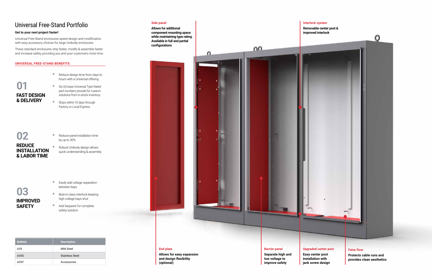# Universal Free-Stand Portfolio

#### **Get to your next project faster!**

Universal Free-Stand enclosures speed design and modification with easy accessory choices for large Unibody enclosures.

These standard enclosures ship faster, modify & assemble faster and increase safety providing you and your customers more time.

- Reduce design time from days to hours with a Universal offering
- $\mathbf{0}$ **FAST DESIGN & DELIVERY**
- Six (6) base Universal Type Rated part numbers provide for custom solutions from in-stock inventory
- Ships within 10 days through Factory or Local Express

#### **UNIVERSAL FREE-STAND BENEFITS**

- Reduce panel installation time by up to 30%
- **Robust Unibody design allows** quick understanding & assembly

- Easily add voltage separation between bays
- Best-in-class interlock keeping high voltage bays shut
- Add Sequestr for complete safety solution

### **02 REDUCE INSTALLATION & LABOR TIME**



**End plate**

**Allows for easy expansion and design flexibility (optional)**

#### **False floor**

**Protects cable runs and provides clean aesthetics**

#### **Side panel**

**Allows for additional component mounting space while maintaining type rating. Available in full and partial configurations**

 $\Omega$ 



**Interlock system**



 $0<sup>0</sup>$ 

**Removable center post & improved interlock**



#### **Barrier panel**

**Separate high and low voltage to improve safety**

#### **Upgraded center post**

**Easy center post installation with jack screw design**

| <b>Bulletin</b> | <b>Description</b>     |
|-----------------|------------------------|
| A35             | Mild Steel             |
| A35S            | <b>Stainless Steel</b> |
| A35Y            | Accessories            |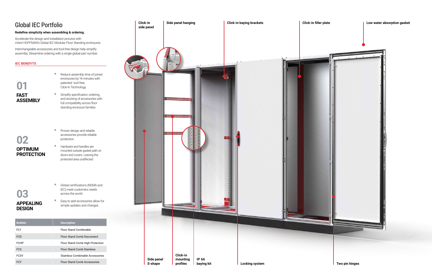#### **Click-in** Side panel hanging **Click-in baying brackets** Global IEC Portfolio **side panel Redefine simplicity when assembling & ordering.** Accelerate the design and installation process with nVent HOFFMAN's Global IEC Modular Floor Standing enclosures. Interchangeable accessories and tool-free design help simplify assembly. Streamline ordering with a single global part number. **IEC BENEFITS** Reduce assembly time of joined enclosures by 14 minutes with patented tool-free, **01** Click-In Technology **FAST Simplify specification, ordering,** and stocking of accessories with **TERRETARY ASSEMBLY TELEVI** full compatibility across floor standing enclosure families **INSERT** VERBERIGEN **Proven design and reliable Termina** accessories provide reliable **02** protection Hardware and handles are **OPTIMUM**  mounted outside gasket path on **PROTECTION** doors and covers. Leaving the protected area unaffected **Global certifications (NEMA and** IEC) meet customers needs **03** across the world **Easy to add accessories allow for APPEALING**  simple updates and changes **DESIGN Bulletin Description** FC1 FIDO Floor Stand Combinable FCD Floor Stand Comb Disconnect FCHP FIoor Stand Comb High Protection FCS FLOOR Stand Comb Stainless **Click-in**  FCSY Stainless Combinable Accessories **IP 66 Side panel mounting**  FCY Floor Stand Comb Accessories **S-shape profiles Locking system baying kit Two pin hinges**

#### **Click-in filler plate Low water absorption gasket**

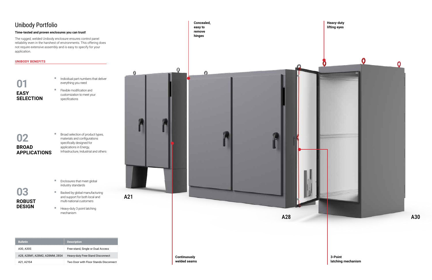# Unibody Portfolio

#### **Time-tested and proven enclosures you can trust!**

The rugged, welded Unibody enclosure ensures control panel reliability even in the harshest of environments. This offering does not require extensive assembly and is easy to specify for your application.

- Individual part numbers that deliver everything you need
- **Flexible modification and** customization to meet your specifications

#### **UNIBODY BENEFITS**

**Broad selection of product types,** materials and configurations specifically designed for applications in Energy, Infrastructure, Industrial and others



- **Enclosures that meet global** industry standards
- **Backed by global manufacturing** and support for both local and multi-national customers
- **Heavy-duty 3 point latching** mechanism

**02 BROAD APPLICATIONS**

**03**

**ROBUST DESIGN**

**Concealed,** 

**Heavy-duty**

**Continuously welded seams** **3-Point latching mechanism**



| <b>Bulletin</b>                | <b>Description</b>                    |
|--------------------------------|---------------------------------------|
| A30, A30S                      | Free-stand, Single or Dual Access     |
| A28, A28M1, A28M2, A28MM, 28S4 | Heavy-duty Free-Stand Disconnect      |
| A21. A21S4                     | Two Door with Floor Stands Disconnect |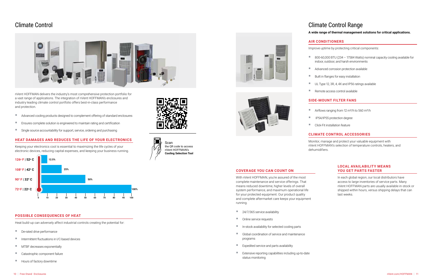## Climate Control



nVent HOFFMAN delivers the industry's most comprehensive protection portfolio for a vast range of applications. The integration of nVent HOFFMAN's enclosures and industry leading climate control portfolio offers best-in-class performance and protection.

- Advanced cooling products designed to complement offering of standard enclosures
- Ensures complete solution is engineered to maintain rating and certification
- Single source accountability for support, service, ordering and purchasing

#### **HEAT DAMAGES AND REDUCES THE LIFE OF YOUR ELECTRONICS**

Keeping your electronics cool is essential to maximizing the life cycles of your electronic devices, reducing capital expenses, and keeping your business running. ■ 800-60,000 BTU (234 - 17584 Watts) nominal capacity cooling available for indoor, outdoor, and harsh environments

Advanced corrosion protection available

■ Built in flanges for easy installation

UL Type 12, 3R, 4, 4X and IP56 ratings available



#### **POSSIBLE CONSEQUENCES OF HEAT**

Heat build-up can adversely affect industrial controls creating the potential for:

- De-rated drive performance
- $\blacksquare$  Intermittent fluctuations in I/C-based devices
- **MTBF** decreases exponentially
- Catastrophic component failure
- **Hours of factory downtime**















# Climate Control Range

- 24/7/365 service availability
- Online service requests
- $\blacksquare$  In-stock availability for selected cooling parts
- Global coordination of service and maintenance programs
- $\blacksquare$  Expedited service and parts availability
- Extensive reporting capabilities including up-to-date status monitoring

#### **A wide range of thermal management solutions for critical applications.**

#### **AIR CONDITIONERS**

Improve uptime by protecting critical components:

Remote access control available

#### **SIDE-MOUNT FILTER FANS**

 $\blacksquare$  Airflows ranging from 12 m<sup>3</sup>/h to 560 m<sup>3</sup>/h

**IP54/IP55 protection degree** 

■ Click-Fit installation feature

#### **CLIMATE CONTROL ACCESSORIES**

Monitor, manage and protect your valuable equipment with nVent HOFFMAN's selection of temperature controls, heaters, and dehumidifiers.

#### **COVERAGE YOU CAN COUNT ON**

With nVent HOFFMAN, you're assured of the most complete maintenance and service offerings. That means reduced downtime, higher levels of overall system performance, and maximum operational life for your protected equipment. Our product quality and complete aftermarket care keeps your equipment running.

#### **LOCAL AVAILABILITY MEANS YOU GET PARTS FASTER**

In each global region, our local distributors have access to large inventories of service parts. Many nVent HOFFMAN parts are usually available in-stock or shipped within hours, versus shipping delays that can last weeks.